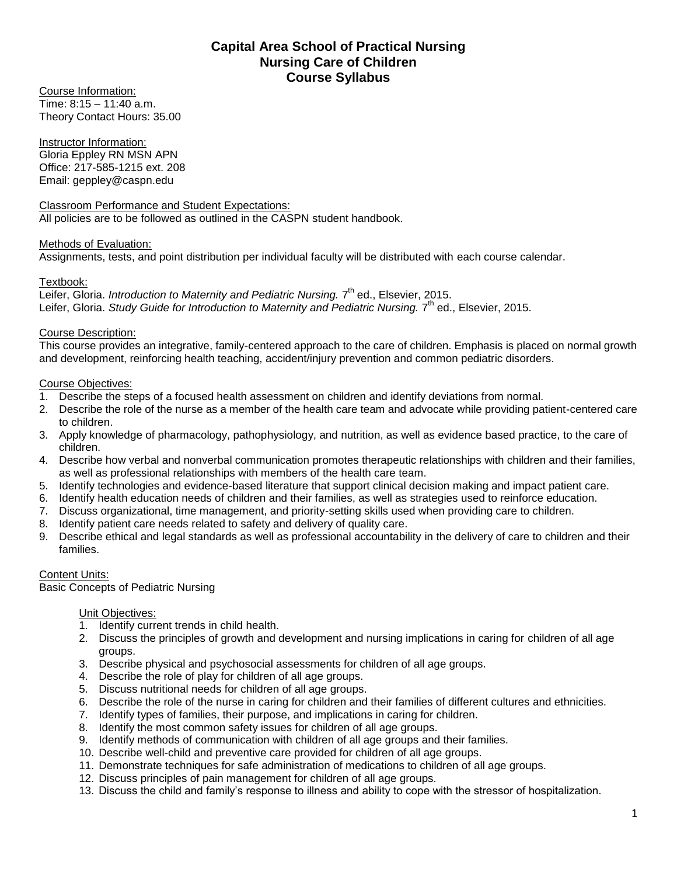# **Capital Area School of Practical Nursing Nursing Care of Children Course Syllabus**

Course Information: Time: 8:15 – 11:40 a.m. Theory Contact Hours: 35.00

Instructor Information: Gloria Eppley RN MSN APN Office: 217-585-1215 ext. 208 Email: geppley@caspn.edu

Classroom Performance and Student Expectations: All policies are to be followed as outlined in the CASPN student handbook.

### Methods of Evaluation:

Assignments, tests, and point distribution per individual faculty will be distributed with each course calendar.

### Textbook:

Leifer, Gloria. *Introduction to Maternity and Pediatric Nursing.* 7<sup>th</sup> ed., Elsevier, 2015. Leifer, Gloria. Study Guide for Introduction to Maternity and Pediatric Nursing. 7<sup>th</sup> ed., Elsevier, 2015.

### Course Description:

This course provides an integrative, family-centered approach to the care of children. Emphasis is placed on normal growth and development, reinforcing health teaching, accident/injury prevention and common pediatric disorders.

### Course Objectives:

- 1. Describe the steps of a focused health assessment on children and identify deviations from normal.
- 2. Describe the role of the nurse as a member of the health care team and advocate while providing patient-centered care to children.
- 3. Apply knowledge of pharmacology, pathophysiology, and nutrition, as well as evidence based practice, to the care of children.
- 4. Describe how verbal and nonverbal communication promotes therapeutic relationships with children and their families, as well as professional relationships with members of the health care team.
- 5. Identify technologies and evidence-based literature that support clinical decision making and impact patient care.
- 6. Identify health education needs of children and their families, as well as strategies used to reinforce education.
- 7. Discuss organizational, time management, and priority-setting skills used when providing care to children.
- 8. Identify patient care needs related to safety and delivery of quality care.
- 9. Describe ethical and legal standards as well as professional accountability in the delivery of care to children and their families.

### Content Units:

Basic Concepts of Pediatric Nursing

- 1. Identify current trends in child health.
- 2. Discuss the principles of growth and development and nursing implications in caring for children of all age groups.
- 3. Describe physical and psychosocial assessments for children of all age groups.
- 4. Describe the role of play for children of all age groups.
- 5. Discuss nutritional needs for children of all age groups.
- 6. Describe the role of the nurse in caring for children and their families of different cultures and ethnicities.
- 7. Identify types of families, their purpose, and implications in caring for children.
- 8. Identify the most common safety issues for children of all age groups.
- 9. Identify methods of communication with children of all age groups and their families.
- 10. Describe well-child and preventive care provided for children of all age groups.
- 11. Demonstrate techniques for safe administration of medications to children of all age groups.
- 12. Discuss principles of pain management for children of all age groups.
- 13. Discuss the child and family's response to illness and ability to cope with the stressor of hospitalization.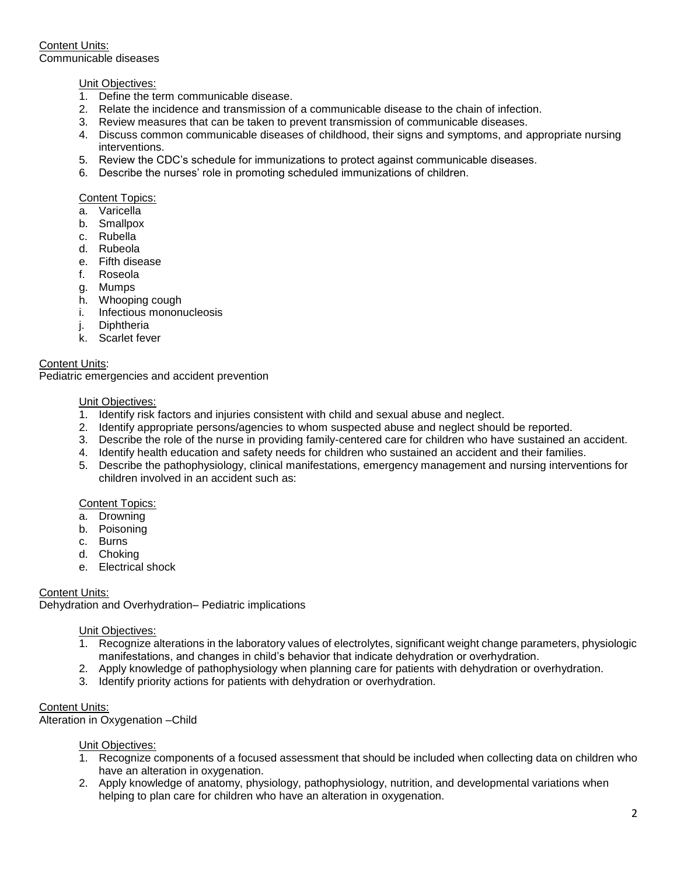Content Units: Communicable diseases

### Unit Objectives:

- 1. Define the term communicable disease.
- 2. Relate the incidence and transmission of a communicable disease to the chain of infection.
- 3. Review measures that can be taken to prevent transmission of communicable diseases.
- 4. Discuss common communicable diseases of childhood, their signs and symptoms, and appropriate nursing interventions.
- 5. Review the CDC's schedule for immunizations to protect against communicable diseases.
- 6. Describe the nurses' role in promoting scheduled immunizations of children.

#### Content Topics:

- a. Varicella
- b. Smallpox
- c. Rubella
- d. Rubeola
- e. Fifth disease
- f. Roseola
- g. Mumps
- h. Whooping cough
- i. Infectious mononucleosis
- j. Diphtheria
- k. Scarlet fever

### Content Units:

Pediatric emergencies and accident prevention

#### Unit Objectives:

- 1. Identify risk factors and injuries consistent with child and sexual abuse and neglect.
- 2. Identify appropriate persons/agencies to whom suspected abuse and neglect should be reported.
- 3. Describe the role of the nurse in providing family-centered care for children who have sustained an accident.
- 4. Identify health education and safety needs for children who sustained an accident and their families.
- 5. Describe the pathophysiology, clinical manifestations, emergency management and nursing interventions for children involved in an accident such as:

#### Content Topics:

- a. Drowning
- b. Poisoning
- c. Burns
- d. Choking
- e. Electrical shock

### Content Units:

Dehydration and Overhydration– Pediatric implications

#### Unit Objectives:

- 1. Recognize alterations in the laboratory values of electrolytes, significant weight change parameters, physiologic manifestations, and changes in child's behavior that indicate dehydration or overhydration.
- 2. Apply knowledge of pathophysiology when planning care for patients with dehydration or overhydration.
- 3. Identify priority actions for patients with dehydration or overhydration.

#### Content Units:

Alteration in Oxygenation –Child

- 1. Recognize components of a focused assessment that should be included when collecting data on children who have an alteration in oxygenation.
- 2. Apply knowledge of anatomy, physiology, pathophysiology, nutrition, and developmental variations when helping to plan care for children who have an alteration in oxygenation.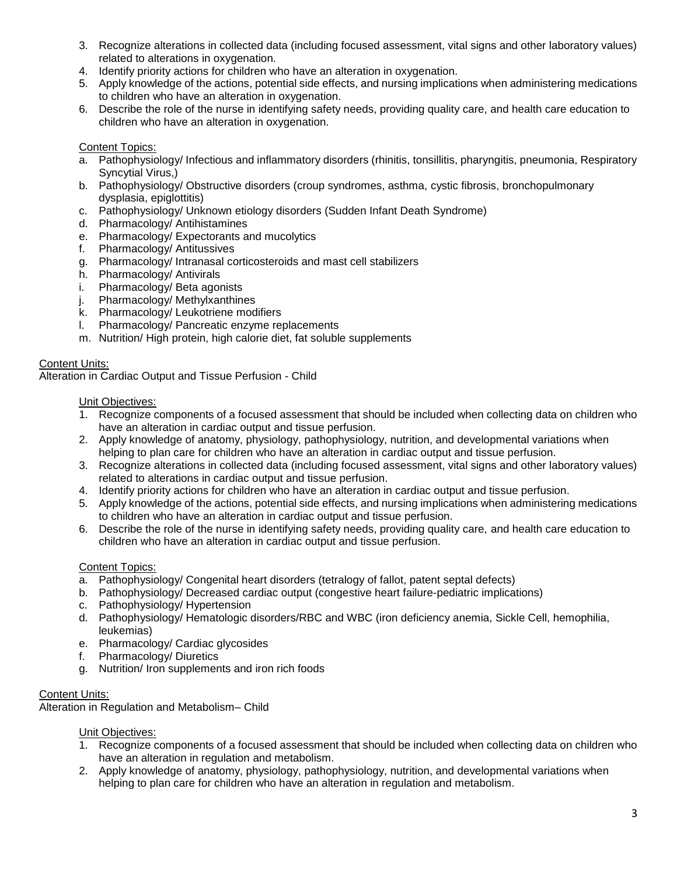- 3. Recognize alterations in collected data (including focused assessment, vital signs and other laboratory values) related to alterations in oxygenation.
- 4. Identify priority actions for children who have an alteration in oxygenation.
- 5. Apply knowledge of the actions, potential side effects, and nursing implications when administering medications to children who have an alteration in oxygenation.
- 6. Describe the role of the nurse in identifying safety needs, providing quality care, and health care education to children who have an alteration in oxygenation.

- a. Pathophysiology/ Infectious and inflammatory disorders (rhinitis, tonsillitis, pharyngitis, pneumonia, Respiratory Syncytial Virus,)
- b. Pathophysiology/ Obstructive disorders (croup syndromes, asthma, cystic fibrosis, bronchopulmonary dysplasia, epiglottitis)
- c. Pathophysiology/ Unknown etiology disorders (Sudden Infant Death Syndrome)
- d. Pharmacology/ Antihistamines
- e. Pharmacology/ Expectorants and mucolytics
- f. Pharmacology/ Antitussives
- g. Pharmacology/ Intranasal corticosteroids and mast cell stabilizers
- h. Pharmacology/ Antivirals
- i. Pharmacology/ Beta agonists
- j. Pharmacology/ Methylxanthines
- k. Pharmacology/ Leukotriene modifiers
- l. Pharmacology/ Pancreatic enzyme replacements
- m. Nutrition/ High protein, high calorie diet, fat soluble supplements

### Content Units:

Alteration in Cardiac Output and Tissue Perfusion - Child

#### Unit Objectives:

- 1. Recognize components of a focused assessment that should be included when collecting data on children who have an alteration in cardiac output and tissue perfusion.
- 2. Apply knowledge of anatomy, physiology, pathophysiology, nutrition, and developmental variations when helping to plan care for children who have an alteration in cardiac output and tissue perfusion.
- 3. Recognize alterations in collected data (including focused assessment, vital signs and other laboratory values) related to alterations in cardiac output and tissue perfusion.
- 4. Identify priority actions for children who have an alteration in cardiac output and tissue perfusion.
- 5. Apply knowledge of the actions, potential side effects, and nursing implications when administering medications to children who have an alteration in cardiac output and tissue perfusion.
- 6. Describe the role of the nurse in identifying safety needs, providing quality care, and health care education to children who have an alteration in cardiac output and tissue perfusion.

#### Content Topics:

- a. Pathophysiology/ Congenital heart disorders (tetralogy of fallot, patent septal defects)
- b. Pathophysiology/ Decreased cardiac output (congestive heart failure-pediatric implications)
- c. Pathophysiology/ Hypertension
- d. Pathophysiology/ Hematologic disorders/RBC and WBC (iron deficiency anemia, Sickle Cell, hemophilia, leukemias)
- e. Pharmacology/ Cardiac glycosides
- f. Pharmacology/ Diuretics
- g. Nutrition/ Iron supplements and iron rich foods

### Content Units:

Alteration in Regulation and Metabolism– Child

- 1. Recognize components of a focused assessment that should be included when collecting data on children who have an alteration in regulation and metabolism.
- 2. Apply knowledge of anatomy, physiology, pathophysiology, nutrition, and developmental variations when helping to plan care for children who have an alteration in regulation and metabolism.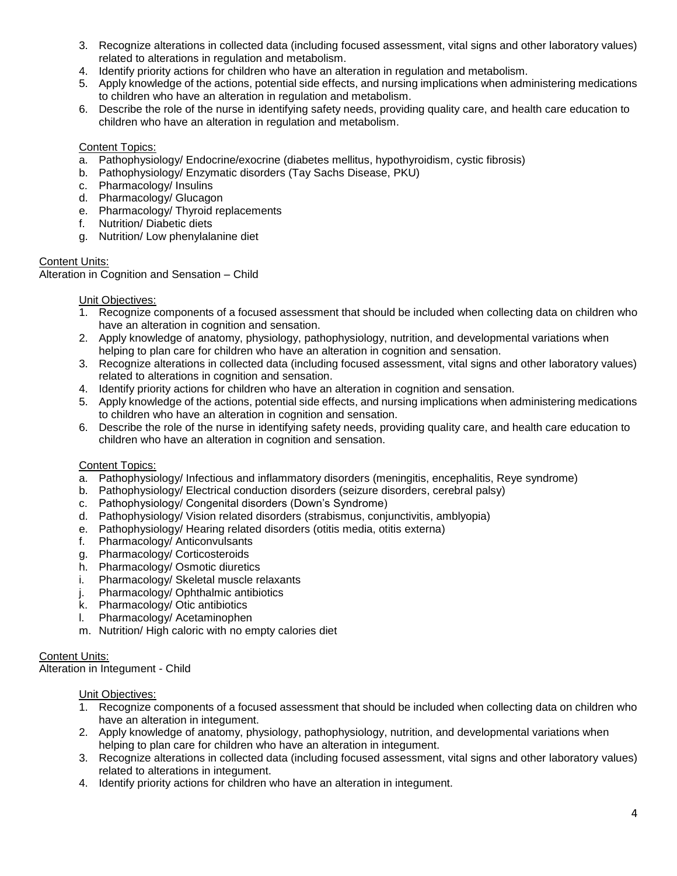- 3. Recognize alterations in collected data (including focused assessment, vital signs and other laboratory values) related to alterations in regulation and metabolism.
- 4. Identify priority actions for children who have an alteration in regulation and metabolism.
- 5. Apply knowledge of the actions, potential side effects, and nursing implications when administering medications to children who have an alteration in regulation and metabolism.
- 6. Describe the role of the nurse in identifying safety needs, providing quality care, and health care education to children who have an alteration in regulation and metabolism.

- a. Pathophysiology/ Endocrine/exocrine (diabetes mellitus, hypothyroidism, cystic fibrosis)
- b. Pathophysiology/ Enzymatic disorders (Tay Sachs Disease, PKU)
- c. Pharmacology/ Insulins
- d. Pharmacology/ Glucagon
- e. Pharmacology/ Thyroid replacements
- f. Nutrition/ Diabetic diets
- g. Nutrition/ Low phenylalanine diet

### Content Units:

Alteration in Cognition and Sensation – Child

### Unit Objectives:

- 1. Recognize components of a focused assessment that should be included when collecting data on children who have an alteration in cognition and sensation.
- 2. Apply knowledge of anatomy, physiology, pathophysiology, nutrition, and developmental variations when helping to plan care for children who have an alteration in cognition and sensation.
- 3. Recognize alterations in collected data (including focused assessment, vital signs and other laboratory values) related to alterations in cognition and sensation.
- 4. Identify priority actions for children who have an alteration in cognition and sensation.
- 5. Apply knowledge of the actions, potential side effects, and nursing implications when administering medications to children who have an alteration in cognition and sensation.
- 6. Describe the role of the nurse in identifying safety needs, providing quality care, and health care education to children who have an alteration in cognition and sensation.

## Content Topics:

- a. Pathophysiology/ Infectious and inflammatory disorders (meningitis, encephalitis, Reye syndrome)
- b. Pathophysiology/ Electrical conduction disorders (seizure disorders, cerebral palsy)
- c. Pathophysiology/ Congenital disorders (Down's Syndrome)
- d. Pathophysiology/ Vision related disorders (strabismus, conjunctivitis, amblyopia)
- e. Pathophysiology/ Hearing related disorders (otitis media, otitis externa)
- f. Pharmacology/ Anticonvulsants
- g. Pharmacology/ Corticosteroids
- h. Pharmacology/ Osmotic diuretics
- i. Pharmacology/ Skeletal muscle relaxants
- j. Pharmacology/ Ophthalmic antibiotics
- k. Pharmacology/ Otic antibiotics
- l. Pharmacology/ Acetaminophen
- m. Nutrition/ High caloric with no empty calories diet

## Content Units:

Alteration in Integument - Child

- 1. Recognize components of a focused assessment that should be included when collecting data on children who have an alteration in integument.
- 2. Apply knowledge of anatomy, physiology, pathophysiology, nutrition, and developmental variations when helping to plan care for children who have an alteration in integument.
- 3. Recognize alterations in collected data (including focused assessment, vital signs and other laboratory values) related to alterations in integument.
- 4. Identify priority actions for children who have an alteration in integument.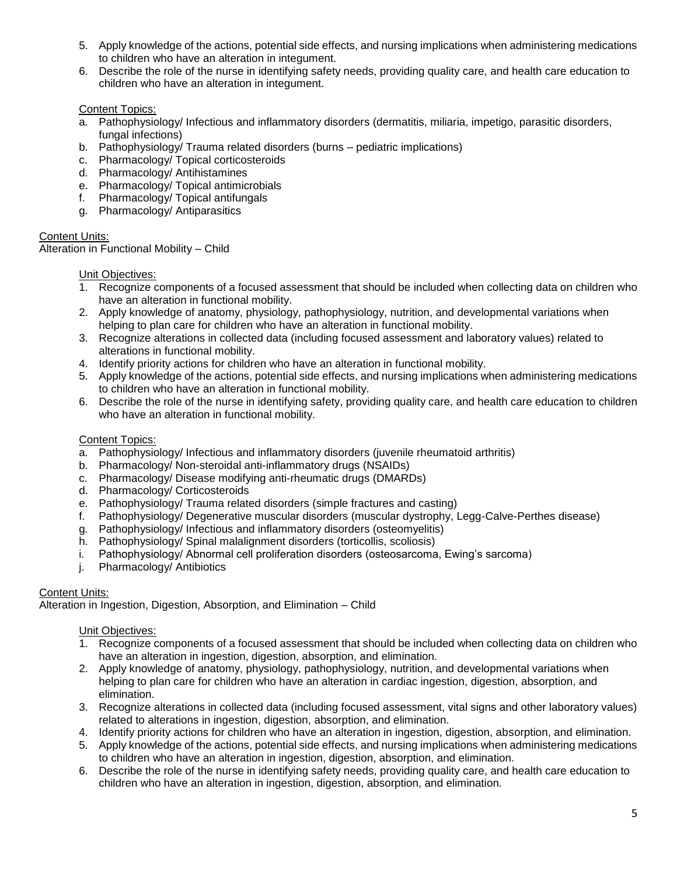- 5. Apply knowledge of the actions, potential side effects, and nursing implications when administering medications to children who have an alteration in integument.
- 6. Describe the role of the nurse in identifying safety needs, providing quality care, and health care education to children who have an alteration in integument.

- a. Pathophysiology/ Infectious and inflammatory disorders (dermatitis, miliaria, impetigo, parasitic disorders, fungal infections)
- b. Pathophysiology/ Trauma related disorders (burns pediatric implications)
- c. Pharmacology/ Topical corticosteroids
- d. Pharmacology/ Antihistamines
- e. Pharmacology/ Topical antimicrobials
- f. Pharmacology/ Topical antifungals
- g. Pharmacology/ Antiparasitics

### Content Units:

Alteration in Functional Mobility – Child

#### Unit Objectives:

- 1. Recognize components of a focused assessment that should be included when collecting data on children who have an alteration in functional mobility.
- 2. Apply knowledge of anatomy, physiology, pathophysiology, nutrition, and developmental variations when helping to plan care for children who have an alteration in functional mobility.
- 3. Recognize alterations in collected data (including focused assessment and laboratory values) related to alterations in functional mobility.
- 4. Identify priority actions for children who have an alteration in functional mobility.
- 5. Apply knowledge of the actions, potential side effects, and nursing implications when administering medications to children who have an alteration in functional mobility.
- 6. Describe the role of the nurse in identifying safety, providing quality care, and health care education to children who have an alteration in functional mobility.

#### Content Topics:

- a. Pathophysiology/ Infectious and inflammatory disorders (juvenile rheumatoid arthritis)
- b. Pharmacology/ Non-steroidal anti-inflammatory drugs (NSAIDs)
- c. Pharmacology/ Disease modifying anti-rheumatic drugs (DMARDs)
- d. Pharmacology/ Corticosteroids
- e. Pathophysiology/ Trauma related disorders (simple fractures and casting)
- f. Pathophysiology/ Degenerative muscular disorders (muscular dystrophy, Legg-Calve-Perthes disease)
- g. Pathophysiology/ Infectious and inflammatory disorders (osteomyelitis)
- h. Pathophysiology/ Spinal malalignment disorders (torticollis, scoliosis)
- i. Pathophysiology/ Abnormal cell proliferation disorders (osteosarcoma, Ewing's sarcoma)
- j. Pharmacology/ Antibiotics

#### Content Units:

Alteration in Ingestion, Digestion, Absorption, and Elimination – Child

- 1. Recognize components of a focused assessment that should be included when collecting data on children who have an alteration in ingestion, digestion, absorption, and elimination.
- 2. Apply knowledge of anatomy, physiology, pathophysiology, nutrition, and developmental variations when helping to plan care for children who have an alteration in cardiac ingestion, digestion, absorption, and elimination.
- 3. Recognize alterations in collected data (including focused assessment, vital signs and other laboratory values) related to alterations in ingestion, digestion, absorption, and elimination.
- 4. Identify priority actions for children who have an alteration in ingestion, digestion, absorption, and elimination.
- 5. Apply knowledge of the actions, potential side effects, and nursing implications when administering medications to children who have an alteration in ingestion, digestion, absorption, and elimination.
- 6. Describe the role of the nurse in identifying safety needs, providing quality care, and health care education to children who have an alteration in ingestion, digestion, absorption, and elimination.